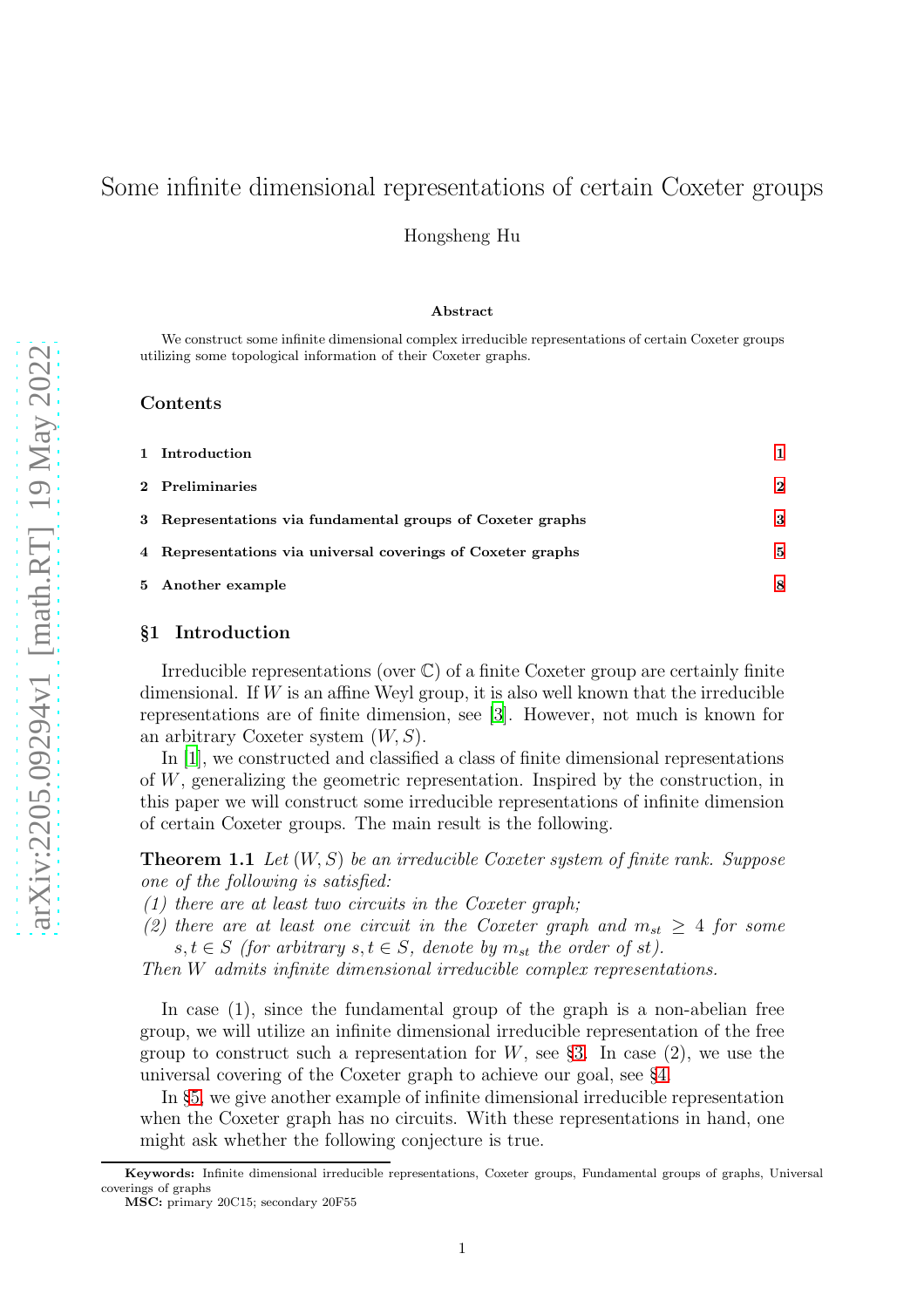# Some infinite dimensional representations of certain Coxeter groups

Hongsheng Hu

#### Abstract

We construct some infinite dimensional complex irreducible representations of certain Coxeter groups utilizing some topological information of their Coxeter graphs.

## Contents

| 1 Introduction                                              |          |
|-------------------------------------------------------------|----------|
| 2 Preliminaries                                             | $\bf{2}$ |
| 3 Representations via fundamental groups of Coxeter graphs  | 3        |
| 4 Representations via universal coverings of Coxeter graphs | 5        |
| 5 Another example                                           | 8        |

## <span id="page-0-0"></span>§1 Introduction

Irreducible representations (over  $\mathbb{C}$ ) of a finite Coxeter group are certainly finite dimensional. If  $W$  is an affine Weyl group, it is also well known that the irreducible representations are of finite dimension, see [\[3\]](#page-8-0). However, not much is known for an arbitrary Coxeter system  $(W, S)$ .

In [\[1\]](#page-8-1), we constructed and classified a class of finite dimensional representations of W, generalizing the geometric representation. Inspired by the construction, in this paper we will construct some irreducible representations of infinite dimension of certain Coxeter groups. The main result is the following.

<span id="page-0-1"></span>**Theorem 1.1** Let  $(W, S)$  be an irreducible Coxeter system of finite rank. Suppose one of the following is satisfied:

 $(1)$  there are at least two circuits in the Coxeter graph;

(2) there are at least one circuit in the Coxeter graph and  $m_{st} \geq 4$  for some  $s, t \in S$  (for arbitrary  $s, t \in S$ , denote by  $m_{st}$  the order of st).

Then W admits infinite dimensional irreducible complex representations.

In case (1), since the fundamental group of the graph is a non-abelian free group, we will utilize an infinite dimensional irreducible representation of the free group to construct such a representation for  $W$ , see §[3.](#page-2-0) In case (2), we use the universal covering of the Coxeter graph to achieve our goal, see §[4.](#page-4-0)

In §[5,](#page-7-0) we give another example of infinite dimensional irreducible representation when the Coxeter graph has no circuits. With these representations in hand, one might ask whether the following conjecture is true.

Keywords: Infinite dimensional irreducible representations, Coxeter groups, Fundamental groups of graphs, Universal coverings of graphs

MSC: primary 20C15; secondary 20F55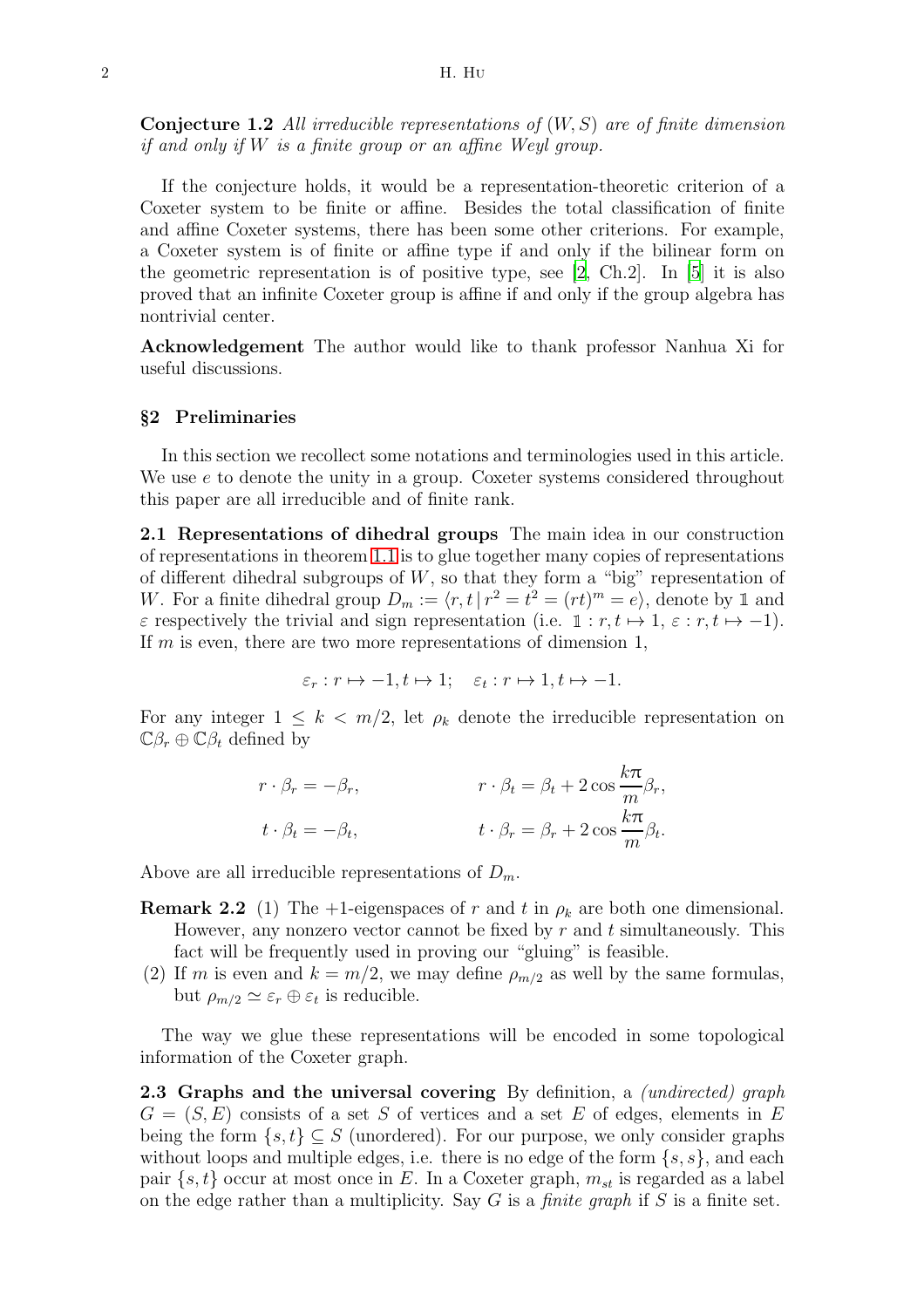**Conjecture 1.2** All irreducible representations of  $(W, S)$  are of finite dimension if and only if W is a finite group or an affine Weyl group.

If the conjecture holds, it would be a representation-theoretic criterion of a Coxeter system to be finite or affine. Besides the total classification of finite and affine Coxeter systems, there has been some other criterions. For example, a Coxeter system is of finite or affine type if and only if the bilinear form on the geometric representation is of positive type, see [\[2](#page-8-2), Ch.2]. In [\[5\]](#page-8-3) it is also proved that an infinite Coxeter group is affine if and only if the group algebra has nontrivial center.

<span id="page-1-0"></span>Acknowledgement The author would like to thank professor Nanhua Xi for useful discussions.

### §2 Preliminaries

In this section we recollect some notations and terminologies used in this article. We use  $e$  to denote the unity in a group. Coxeter systems considered throughout this paper are all irreducible and of finite rank.

2.1 Representations of dihedral groups The main idea in our construction of representations in theorem [1.1](#page-0-1) is to glue together many copies of representations of different dihedral subgroups of  $W$ , so that they form a "big" representation of W. For a finite dihedral group  $D_m := \langle r, t | r^2 = t^2 = (rt)^m = e \rangle$ , denote by 1 and  $\varepsilon$  respectively the trivial and sign representation (i.e.  $\mathbb{1}: r, t \mapsto 1, \varepsilon : r, t \mapsto -1$ ). If m is even, there are two more representations of dimension 1,

$$
\varepsilon_r : r \mapsto -1, t \mapsto 1; \quad \varepsilon_t : r \mapsto 1, t \mapsto -1.
$$

For any integer  $1 \leq k < m/2$ , let  $\rho_k$  denote the irreducible representation on  $\mathbb{C}\beta_r \oplus \mathbb{C}\beta_t$  defined by

$$
r \cdot \beta_r = -\beta_r, \qquad r \cdot \beta_t = \beta_t + 2 \cos \frac{k\pi}{m} \beta_r,
$$
  

$$
t \cdot \beta_t = -\beta_t, \qquad t \cdot \beta_r = \beta_r + 2 \cos \frac{k\pi}{m} \beta_t.
$$

<span id="page-1-1"></span>Above are all irreducible representations of  $D_m$ .

- **Remark 2.2** (1) The +1-eigenspaces of r and t in  $\rho_k$  are both one dimensional. However, any nonzero vector cannot be fixed by  $r$  and  $t$  simultaneously. This fact will be frequently used in proving our "gluing" is feasible.
- (2) If m is even and  $k = m/2$ , we may define  $\rho_{m/2}$  as well by the same formulas, but  $\rho_{m/2} \simeq \varepsilon_r \oplus \varepsilon_t$  is reducible.

The way we glue these representations will be encoded in some topological information of the Coxeter graph.

2.3 Graphs and the universal covering By definition, a *(undirected)* graph  $G = (S, E)$  consists of a set S of vertices and a set E of edges, elements in E being the form  $\{s, t\} \subset S$  (unordered). For our purpose, we only consider graphs without loops and multiple edges, i.e. there is no edge of the form  $\{s, s\}$ , and each pair  $\{s, t\}$  occur at most once in E. In a Coxeter graph,  $m_{st}$  is regarded as a label on the edge rather than a multiplicity. Say G is a *finite graph* if S is a finite set.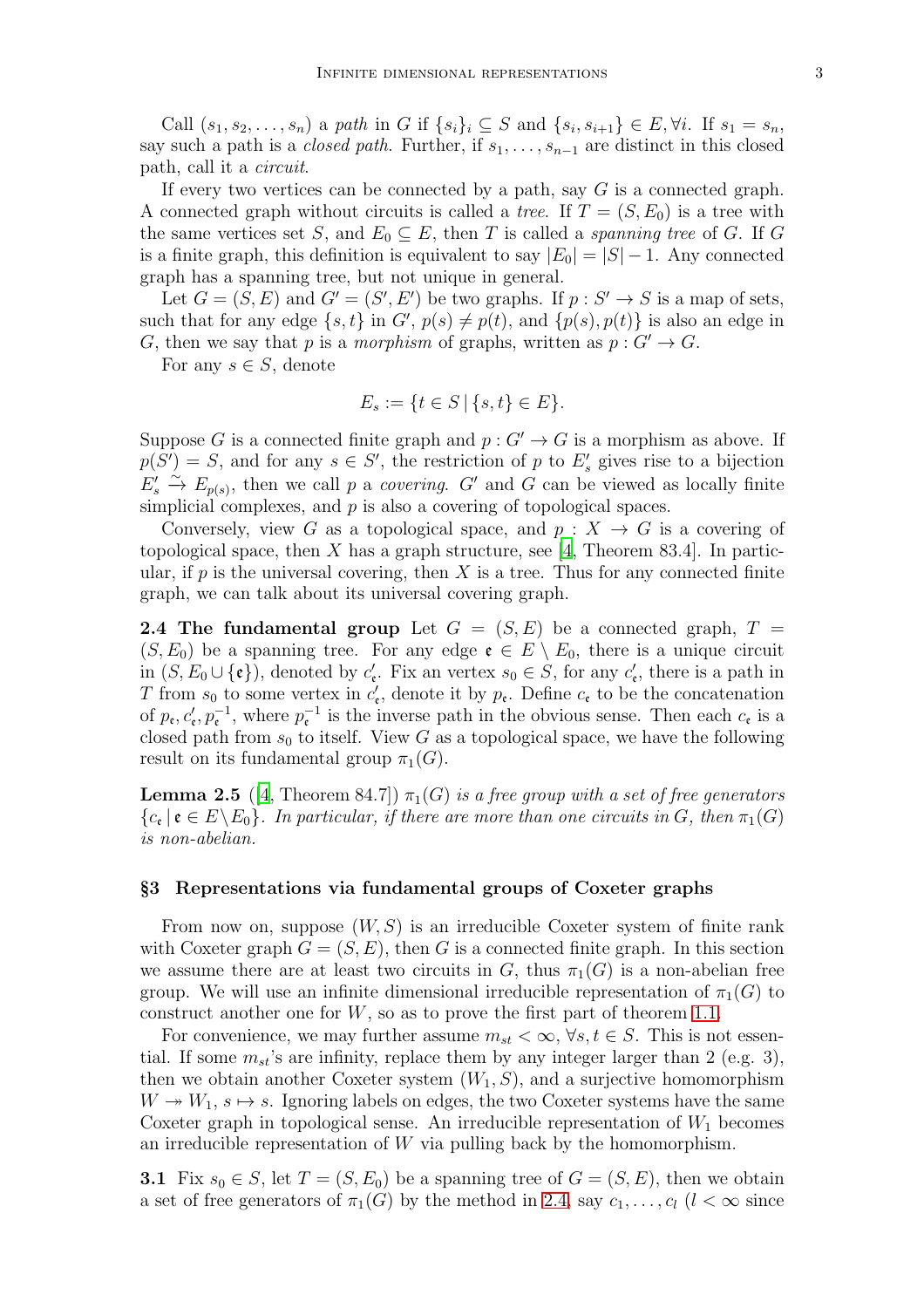Call  $(s_1, s_2, \ldots, s_n)$  a path in G if  $\{s_i\}_i \subseteq S$  and  $\{s_i, s_{i+1}\} \in E, \forall i$ . If  $s_1 = s_n$ , say such a path is a *closed path*. Further, if  $s_1, \ldots, s_{n-1}$  are distinct in this closed path, call it a circuit.

If every two vertices can be connected by a path, say  $G$  is a connected graph. A connected graph without circuits is called a *tree*. If  $T = (S, E_0)$  is a tree with the same vertices set S, and  $E_0 \subseteq E$ , then T is called a spanning tree of G. If G is a finite graph, this definition is equivalent to say  $|E_0| = |S| - 1$ . Any connected graph has a spanning tree, but not unique in general.

Let  $G = (S, E)$  and  $G' = (S', E')$  be two graphs. If  $p : S' \to S$  is a map of sets, such that for any edge  $\{s, t\}$  in  $G'$ ,  $p(s) \neq p(t)$ , and  $\{p(s), p(t)\}$  is also an edge in G, then we say that p is a morphism of graphs, written as  $p: G' \to G$ .

For any  $s \in S$ , denote

$$
E_s := \{ t \in S \, | \, \{s, t\} \in E \}.
$$

Suppose G is a connected finite graph and  $p: G' \to G$  is a morphism as above. If  $p(S') = S$ , and for any  $s \in S'$ , the restriction of p to  $E'_{s}$  gives rise to a bijection  $E'_s \stackrel{\sim}{\to} E_{p(s)}$ , then we call p a *covering.* G' and G can be viewed as locally finite simplicial complexes, and  $p$  is also a covering of topological spaces.

Conversely, view G as a topological space, and  $p: X \to G$  is a covering of topological space, then X has a graph structure, see [\[4](#page-8-4), Theorem 83.4]. In particular, if  $p$  is the universal covering, then  $X$  is a tree. Thus for any connected finite graph, we can talk about its universal covering graph.

<span id="page-2-1"></span>**2.4 The fundamental group** Let  $G = (S, E)$  be a connected graph,  $T =$  $(S, E_0)$  be a spanning tree. For any edge  $\mathfrak{e} \in E \setminus E_0$ , there is a unique circuit in  $(S, E_0 \cup \{\mathfrak{e}\})$ , denoted by  $c'_\mathfrak{e}$ . Fix an vertex  $s_0 \in S$ , for any  $c'_\mathfrak{e}$ , there is a path in T from  $s_0$  to some vertex in  $c'_\epsilon$ , denote it by  $p_\epsilon$ . Define  $c_\epsilon$  to be the concatenation of  $p_e, c'_e, p_e^{-1}$ , where  $p_e^{-1}$  is the inverse path in the obvious sense. Then each  $c_e$  is a closed path from  $s_0$  to itself. View G as a topological space, we have the following result on its fundamental group  $\pi_1(G)$ .

**Lemma 2.5** ([\[4,](#page-8-4) Theorem 84.7])  $\pi_1(G)$  is a free group with a set of free generators  ${c_{\mathfrak{e}}} \mid {\mathfrak{e}} \in E \setminus E_0$ . In particular, if there are more than one circuits in G, then  $\pi_1(G)$ is non-abelian.

#### <span id="page-2-0"></span>§3 Representations via fundamental groups of Coxeter graphs

From now on, suppose  $(W, S)$  is an irreducible Coxeter system of finite rank with Coxeter graph  $G = (S, E)$ , then G is a connected finite graph. In this section we assume there are at least two circuits in G, thus  $\pi_1(G)$  is a non-abelian free group. We will use an infinite dimensional irreducible representation of  $\pi_1(G)$  to construct another one for  $W$ , so as to prove the first part of theorem [1.1.](#page-0-1)

For convenience, we may further assume  $m_{st} < \infty$ ,  $\forall s, t \in S$ . This is not essential. If some  $m_{st}$ 's are infinity, replace them by any integer larger than 2 (e.g. 3), then we obtain another Coxeter system  $(W_1, S)$ , and a surjective homomorphism  $W \rightarrow W_1$ ,  $s \mapsto s$ . Ignoring labels on edges, the two Coxeter systems have the same Coxeter graph in topological sense. An irreducible representation of  $W_1$  becomes an irreducible representation of W via pulling back by the homomorphism.

<span id="page-2-2"></span>**3.1** Fix  $s_0 \in S$ , let  $T = (S, E_0)$  be a spanning tree of  $G = (S, E)$ , then we obtain a set of free generators of  $\pi_1(G)$  by the method in [2.4,](#page-2-1) say  $c_1, \ldots, c_l$  ( $l < \infty$  since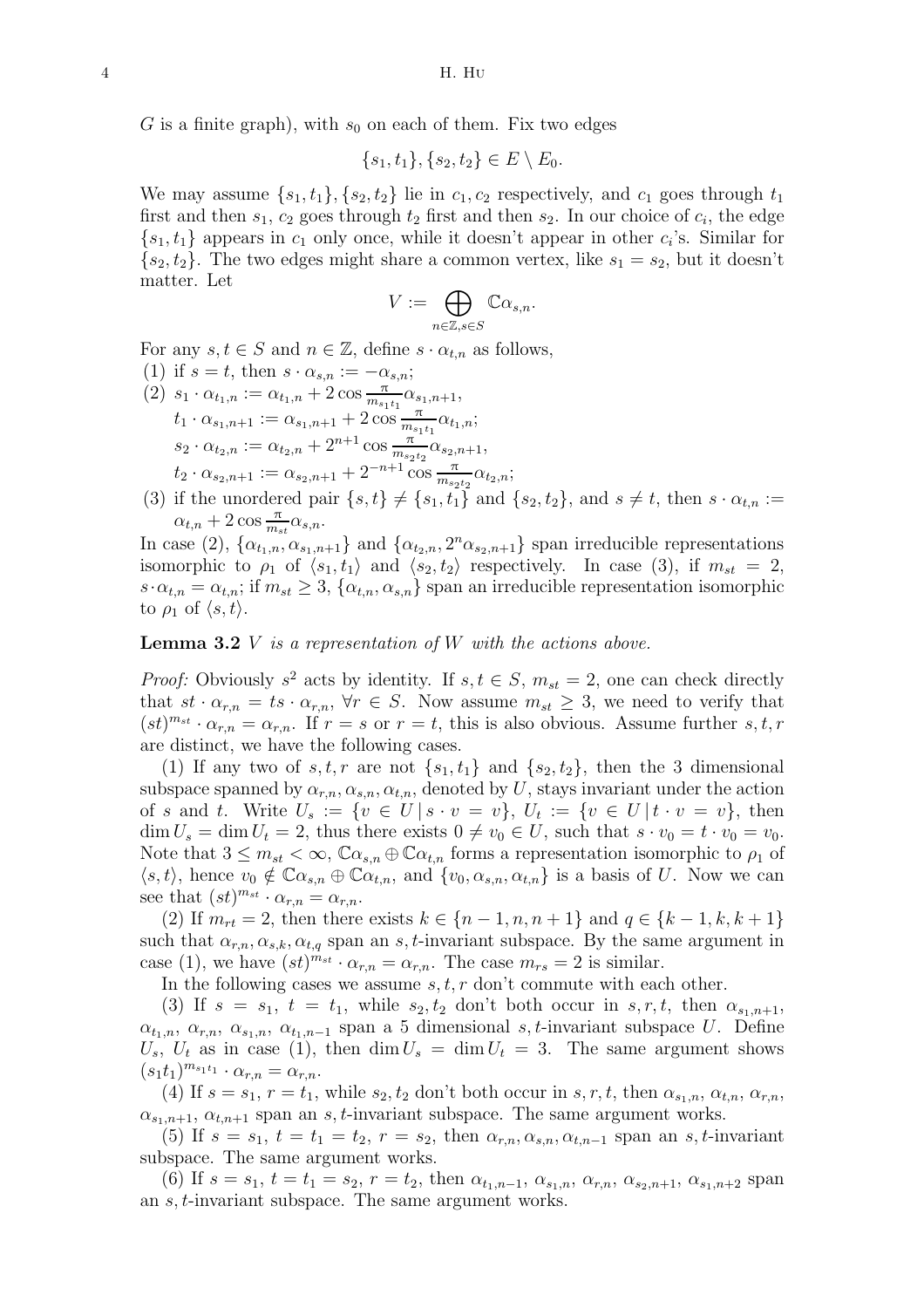G is a finite graph), with  $s_0$  on each of them. Fix two edges

$$
\{s_1, t_1\}, \{s_2, t_2\} \in E \setminus E_0.
$$

We may assume  $\{s_1, t_1\}, \{s_2, t_2\}$  lie in  $c_1, c_2$  respectively, and  $c_1$  goes through  $t_1$ first and then  $s_1, c_2$  goes through  $t_2$  first and then  $s_2$ . In our choice of  $c_i$ , the edge  ${s_1, t_1}$  appears in  $c_1$  only once, while it doesn't appear in other  $c_i$ 's. Similar for  $\{s_2, t_2\}$ . The two edges might share a common vertex, like  $s_1 = s_2$ , but it doesn't matter. Let

$$
V:=\bigoplus_{n\in\mathbb{Z},s\in S}\mathbb{C}\alpha_{s,n}.
$$

For any  $s, t \in S$  and  $n \in \mathbb{Z}$ , define  $s \cdot \alpha_{t,n}$  as follows,

- (1) if  $s = t$ , then  $s \cdot \alpha_{s,n} := -\alpha_{s,n};$  $(2)$   $s_1 \cdot \alpha_{t_1,n} := \alpha_{t_1,n} + 2 \cos \frac{\pi}{m_{s_1t_1}} \alpha_{s_1,n+1},$  $t_1 \cdot \alpha_{s_1,n+1} := \alpha_{s_1,n+1} + 2 \cos \frac{\pi}{m_{s_1t_1}} \alpha_{t_1,n};$  $s_2 \cdot \alpha_{t_2,n} := \alpha_{t_2,n} + 2^{n+1} \cos \frac{\pi}{m_{s_2t_2}} \alpha_{s_2,n+1},$  $t_2 \cdot \alpha_{s_2,n+1} := \alpha_{s_2,n+1} + 2^{-n+1} \cos \frac{\pi}{m_{s_2t_2}} \alpha_{t_2,n};$
- (3) if the unordered pair  $\{s, t\} \neq \{s_1, t_1\}$  and  $\{s_2, t_2\}$ , and  $s \neq t$ , then  $s \cdot \alpha_{t,n} :=$  $\alpha_{t,n} + 2 \cos \frac{\pi}{m_{st}} \alpha_{s,n}.$

In case (2),  $\{\alpha_{t_1,n}, \alpha_{s_1,n+1}\}\$  and  $\{\alpha_{t_2,n}, 2^n \alpha_{s_2,n+1}\}\$  span irreducible representations isomorphic to  $\rho_1$  of  $\langle s_1, t_1 \rangle$  and  $\langle s_2, t_2 \rangle$  respectively. In case (3), if  $m_{st} = 2$ ,  $s \cdot \alpha_{t,n} = \alpha_{t,n}$ ; if  $m_{st} \geq 3$ ,  $\{\alpha_{t,n}, \alpha_{s,n}\}$  span an irreducible representation isomorphic to  $\rho_1$  of  $\langle s, t \rangle$ .

## <span id="page-3-0"></span>**Lemma 3.2**  $V$  is a representation of  $W$  with the actions above.

*Proof:* Obviously  $s^2$  acts by identity. If  $s, t \in S$ ,  $m_{st} = 2$ , one can check directly that  $st \cdot \alpha_{r,n} = ts \cdot \alpha_{r,n}$ ,  $\forall r \in S$ . Now assume  $m_{st} \geq 3$ , we need to verify that  $(st)^{m_{st}} \cdot \alpha_{r,n} = \alpha_{r,n}.$  If  $r = s$  or  $r = t$ , this is also obvious. Assume further  $s, t, r$ are distinct, we have the following cases.

(1) If any two of  $s, t, r$  are not  $\{s_1, t_1\}$  and  $\{s_2, t_2\}$ , then the 3 dimensional subspace spanned by  $\alpha_{r,n}, \alpha_{s,n}, \alpha_{t,n}$ , denoted by U, stays invariant under the action of s and t. Write  $U_s := \{v \in U | s \cdot v = v\},\ U_t := \{v \in U | t \cdot v = v\},\$  then  $\dim U_s = \dim U_t = 2$ , thus there exists  $0 \neq v_0 \in U$ , such that  $s \cdot v_0 = t \cdot v_0 = v_0$ . Note that  $3 \leq m_{st} < \infty$ ,  $\mathbb{C}\alpha_{s,n} \oplus \mathbb{C}\alpha_{t,n}$  forms a representation isomorphic to  $\rho_1$  of  $\langle s,t\rangle$ , hence  $v_0 \notin \mathbb{C} \alpha_{s,n} \oplus \mathbb{C} \alpha_{t,n}$ , and  $\{v_0, \alpha_{s,n}, \alpha_{t,n}\}\$ is a basis of U. Now we can see that  $(st)^{m_{st}} \cdot \alpha_{r,n} = \alpha_{r,n}.$ 

(2) If  $m_{rt} = 2$ , then there exists  $k \in \{n-1, n, n+1\}$  and  $q \in \{k-1, k, k+1\}$ such that  $\alpha_{r,n}, \alpha_{s,k}, \alpha_{t,q}$  span an s, t-invariant subspace. By the same argument in case (1), we have  $(st)^{m_{st}} \cdot \alpha_{r,n} = \alpha_{r,n}$ . The case  $m_{rs} = 2$  is similar.

In the following cases we assume  $s, t, r$  don't commute with each other.

(3) If  $s = s_1$ ,  $t = t_1$ , while  $s_2, t_2$  don't both occur in  $s, r, t$ , then  $\alpha_{s_1,n+1}$ ,  $\alpha_{t_1,n}, \alpha_{r,n}, \alpha_{s_1,n}, \alpha_{t_1,n-1}$  span a 5 dimensional s, t-invariant subspace U. Define  $U_s, U_t$  as in case (1), then  $\dim U_s = \dim U_t = 3$ . The same argument shows  $(s_1t_1)^{m_{s_1t_1}} \cdot \alpha_{r,n} = \alpha_{r,n}.$ 

(4) If  $s = s_1$ ,  $r = t_1$ , while  $s_2, t_2$  don't both occur in  $s, r, t$ , then  $\alpha_{s_1,n}, \alpha_{t,n}, \alpha_{r,n}$ ,  $\alpha_{s_1,n+1}, \alpha_{t,n+1}$  span an s, t-invariant subspace. The same argument works.

(5) If  $s = s_1$ ,  $t = t_1 = t_2$ ,  $r = s_2$ , then  $\alpha_{r,n}, \alpha_{s,n}, \alpha_{t,n-1}$  span an s, t-invariant subspace. The same argument works.

(6) If  $s = s_1$ ,  $t = t_1 = s_2$ ,  $r = t_2$ , then  $\alpha_{t_1,n-1}, \alpha_{s_1,n}, \alpha_{r,n}, \alpha_{s_2,n+1}, \alpha_{s_1,n+2}$  span an s, t-invariant subspace. The same argument works.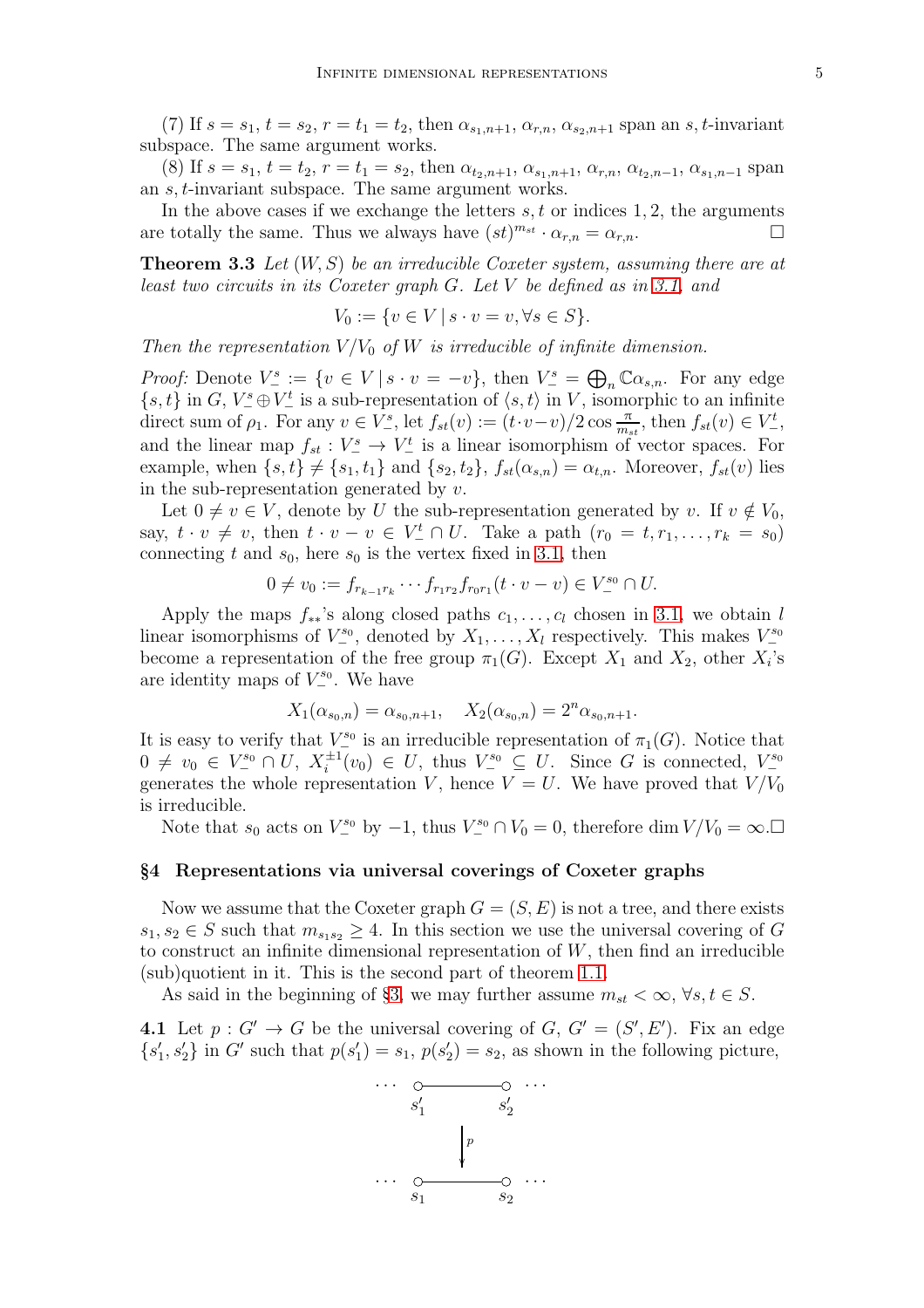(7) If  $s = s_1$ ,  $t = s_2$ ,  $r = t_1 = t_2$ , then  $\alpha_{s_1,n+1}, \alpha_{r,n}, \alpha_{s_2,n+1}$  span an s, t-invariant

subspace. The same argument works. (8) If  $s = s_1$ ,  $t = t_2$ ,  $r = t_1 = s_2$ , then  $\alpha_{t_2,n+1}, \alpha_{s_1,n+1}, \alpha_{r,n}, \alpha_{t_2,n-1}, \alpha_{s_1,n-1}$  span

an s, t-invariant subspace. The same argument works.

In the above cases if we exchange the letters  $s, t$  or indices 1, 2, the arguments are totally the same. Thus we always have  $(st)^{m_{st}} \cdot \alpha_{r,n} = \alpha_{r,n}$ .

**Theorem 3.3** Let  $(W, S)$  be an irreducible Coxeter system, assuming there are at least two circuits in its Coxeter graph G. Let V be defined as in [3.1,](#page-2-2) and

$$
V_0 := \{ v \in V \mid s \cdot v = v, \forall s \in S \}.
$$

Then the representation  $V/V_0$  of W is irreducible of infinite dimension.

*Proof:* Denote  $V^s_- := \{v \in V \mid s \cdot v = -v\}$ , then  $V^s_- = \bigoplus_n \mathbb{C} \alpha_{s,n}$ . For any edge  $\{s, t\}$  in G,  $V^s_- \oplus V^t_-$  is a sub-representation of  $\langle s, t \rangle$  in V, isomorphic to an infinite direct sum of  $\rho_1$ . For any  $v \in V^s_-$ , let  $f_{st}(v) := (t \cdot v - v)/2 \cos \frac{\pi}{m_{st}}$ , then  $f_{st}(v) \in V^t_-$ , and the linear map  $f_{st}: V^s \to V^t$  is a linear isomorphism of vector spaces. For example, when  $\{s, t\} \neq \{s_1, t_1\}$  and  $\{s_2, t_2\}$ ,  $f_{st}(\alpha_{s,n}) = \alpha_{t,n}$ . Moreover,  $f_{st}(v)$  lies in the sub-representation generated by  $v$ .

Let  $0 \neq v \in V$ , denote by U the sub-representation generated by v. If  $v \notin V_0$ , say,  $t \cdot v \neq v$ , then  $t \cdot v - v \in V_{-}^{t} \cap U$ . Take a path  $(r_0 = t, r_1, \ldots, r_k = s_0)$ connecting t and  $s_0$ , here  $s_0$  is the vertex fixed in [3.1,](#page-2-2) then

$$
0 \neq v_0 := f_{r_{k-1}r_k} \cdots f_{r_1r_2} f_{r_0r_1} (t \cdot v - v) \in V^{s_0} \cap U.
$$

Apply the maps  $f_{**}$ 's along closed paths  $c_1, \ldots, c_l$  chosen in [3.1,](#page-2-2) we obtain l linear isomorphisms of  $V^{s_0}_-$ , denoted by  $X_1, \ldots, X_l$  respectively. This makes  $V^{s_0}_$ become a representation of the free group  $\pi_1(G)$ . Except  $X_1$  and  $X_2$ , other  $X_i$ 's are identity maps of  $V^{s_0}_-$ . We have

$$
X_1(\alpha_{s_0,n}) = \alpha_{s_0,n+1}, \quad X_2(\alpha_{s_0,n}) = 2^n \alpha_{s_0,n+1}.
$$

It is easy to verify that  $V^{s_0}$  is an irreducible representation of  $\pi_1(G)$ . Notice that  $0 \neq v_0 \in V^{s_0} \cap U, X_i^{\pm 1}$  $i^{1} (v_0) \in U$ , thus  $V^s_- \subseteq U$ . Since G is connected,  $V^s_$ generates the whole representation V, hence  $V = U$ . We have proved that  $V/V_0$ is irreducible.

Note that  $s_0$  acts on  $V^{s_0}$  by  $-1$ , thus  $V^{s_0} \cap V_0 = 0$ , therefore dim  $V/V_0 = \infty$ .

#### <span id="page-4-0"></span>§4 Representations via universal coverings of Coxeter graphs

Now we assume that the Coxeter graph  $G = (S, E)$  is not a tree, and there exists  $s_1, s_2 \in S$  such that  $m_{s_1, s_2} \geq 4$ . In this section we use the universal covering of G to construct an infinite dimensional representation of  $W$ , then find an irreducible (sub)quotient in it. This is the second part of theorem [1.1.](#page-0-1)

As said in the beginning of §[3,](#page-2-0) we may further assume  $m_{st} < \infty$ ,  $\forall s, t \in S$ .

<span id="page-4-1"></span>**4.1** Let  $p: G' \to G$  be the universal covering of  $G, G' = (S', E')$ . Fix an edge  $\{s_1'$  $\{1, s'_2\}$  in G' such that  $p(s'_1)$  $y'_1$ ) =  $s_1, p(s'_2)$  $Z_2$  =  $s_2$ , as shown in the following picture,

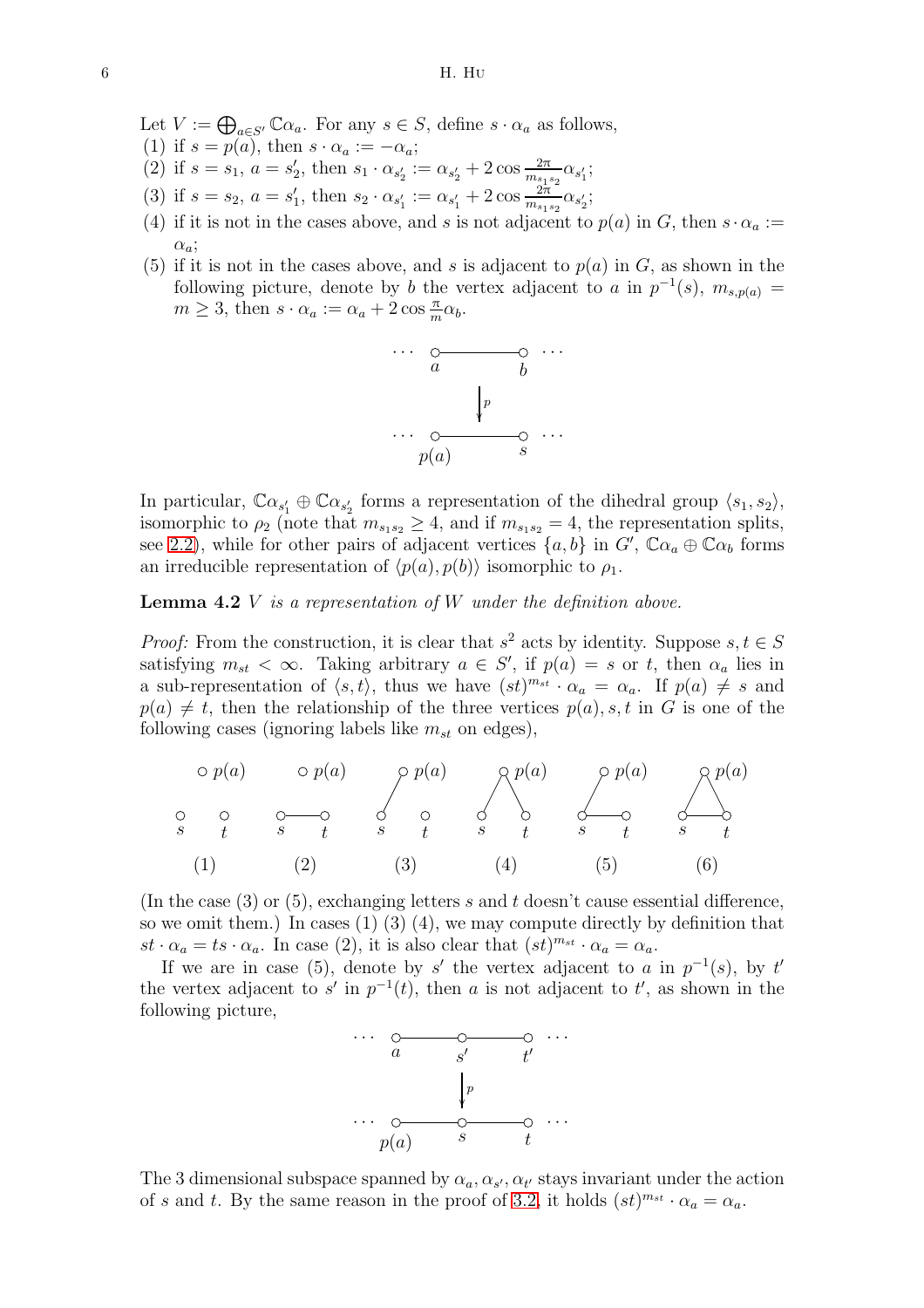Let  $V := \bigoplus_{a \in S'} \mathbb{C}\alpha_a$ . For any  $s \in S$ , define  $s \cdot \alpha_a$  as follows,

- (1) if  $s = p(a)$ , then  $s \cdot \alpha_a := -\alpha_a$ ;
- (2) if  $s = s_1, a = s'_2$ z, then  $s_1 \cdot \alpha_{s'_2} := \alpha_{s'_2} + 2 \cos \frac{2\pi}{m_{s_1s_2}} \alpha_{s'_1};$
- (3) if  $s = s_2, a = s'_1$  $\alpha'_{1}$ , then  $s_{2} \cdot \alpha_{s'_{1}} := \alpha_{s'_{1}} + 2 \cos \frac{\frac{2\pi}{27}}{m_{s_{1}s_{2}}\alpha_{s'_{2}}};$
- (4) if it is not in the cases above, and s is not adjacent to  $p(a)$  in G, then  $s \cdot \alpha_a :=$  $\alpha_a$ ;
- (5) if it is not in the cases above, and s is adjacent to  $p(a)$  in G, as shown in the following picture, denote by b the vertex adjacent to a in  $p^{-1}(s)$ ,  $m_{s,p(a)} =$  $m \geq 3$ , then  $s \cdot \alpha_a := \alpha_a + 2 \cos \frac{\pi}{m} \alpha_b$ .



In particular,  $\mathbb{C}\alpha_{s'_1} \oplus \mathbb{C}\alpha_{s'_2}$  forms a representation of the dihedral group  $\langle s_1, s_2 \rangle$ , isomorphic to  $\rho_2$  (note that  $m_{s_1s_2} \geq 4$ , and if  $m_{s_1s_2} = 4$ , the representation splits, see [2.2\)](#page-1-1), while for other pairs of adjacent vertices  $\{a, b\}$  in  $G'$ ,  $\mathbb{C}\alpha_a \oplus \mathbb{C}\alpha_b$  forms an irreducible representation of  $\langle p(a), p(b) \rangle$  isomorphic to  $\rho_1$ .

<span id="page-5-0"></span>**Lemma 4.2**  $V$  is a representation of  $W$  under the definition above.

*Proof:* From the construction, it is clear that  $s^2$  acts by identity. Suppose  $s, t \in S$ satisfying  $m_{st} < \infty$ . Taking arbitrary  $a \in S'$ , if  $p(a) = s$  or t, then  $\alpha_a$  lies in a sub-representation of  $\langle s, t \rangle$ , thus we have  $(st)^{m_{st}} \cdot \alpha_a = \alpha_a$ . If  $p(a) \neq s$  and  $p(a) \neq t$ , then the relationship of the three vertices  $p(a), s, t$  in G is one of the following cases (ignoring labels like  $m_{st}$  on edges),

s t p(a) s t p(a) s t p(a) s t p(a) s t p(a) s t p(a) (1) (2) (3) (4) (5) (6)

(In the case  $(3)$  or  $(5)$ , exchanging letters s and t doesn't cause essential difference, so we omit them.) In cases  $(1)$   $(3)$   $(4)$ , we may compute directly by definition that  $st \cdot \alpha_a = ts \cdot \alpha_a$ . In case (2), it is also clear that  $(st)^{m_{st}} \cdot \alpha_a = \alpha_a$ .

If we are in case (5), denote by s' the vertex adjacent to a in  $p^{-1}(s)$ , by t' the vertex adjacent to s' in  $p^{-1}(t)$ , then a is not adjacent to t', as shown in the following picture,



The 3 dimensional subspace spanned by  $\alpha_a, \alpha_{s'}, \alpha_{t'}$  stays invariant under the action of s and t. By the same reason in the proof of [3.2,](#page-3-0) it holds  $(st)^{m_{st}} \cdot \alpha_a = \alpha_a$ .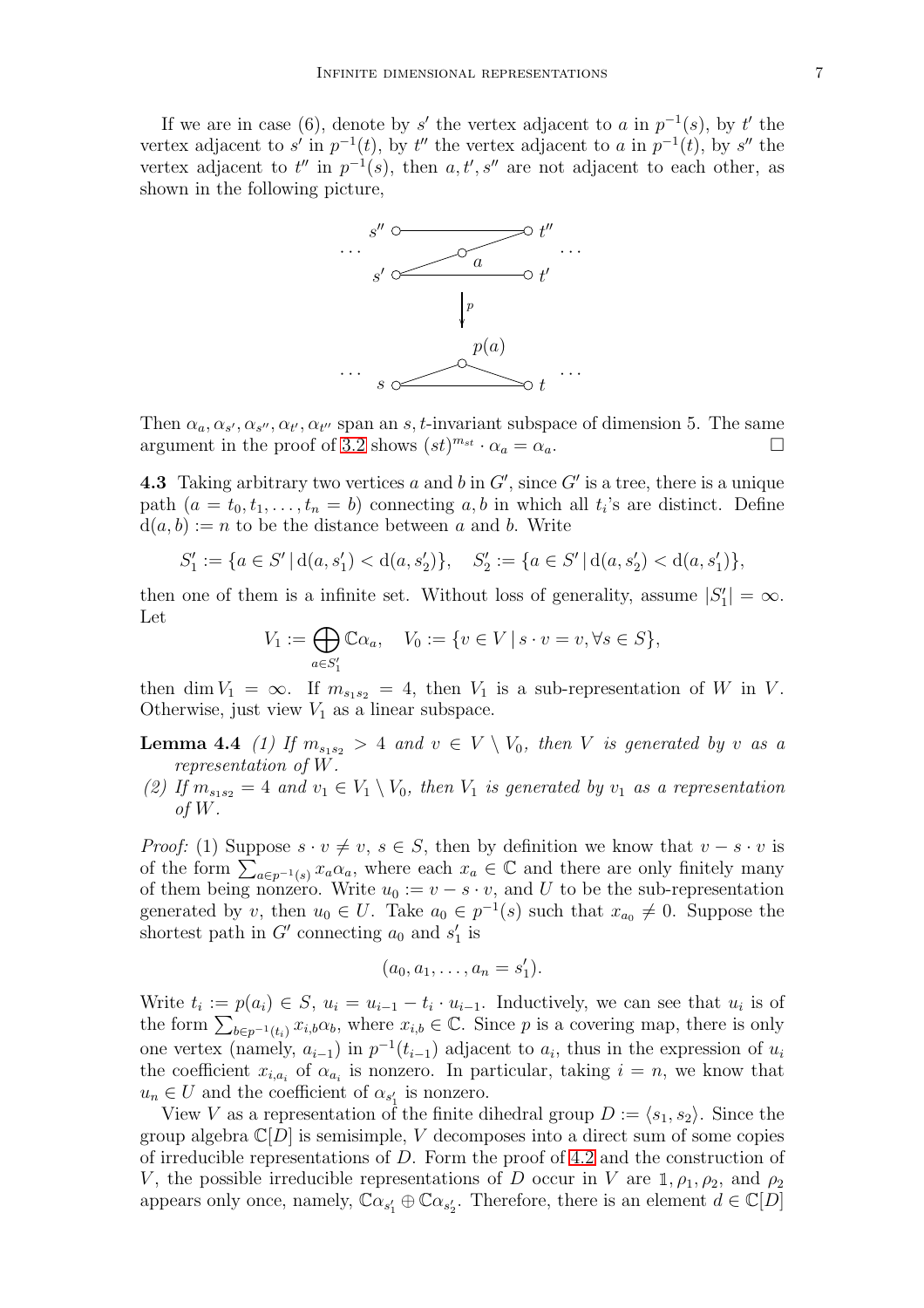If we are in case (6), denote by s' the vertex adjacent to a in  $p^{-1}(s)$ , by t' the vertex adjacent to s' in  $p^{-1}(t)$ , by t'' the vertex adjacent to a in  $p^{-1}(t)$ , by s'' the vertex adjacent to  $t''$  in  $p^{-1}(s)$ , then  $a, t', s''$  are not adjacent to each other, as shown in the following picture,



Then  $\alpha_a, \alpha_{s'}, \alpha_{s''}, \alpha_{t'}, \alpha_{t''}$  span an s, t-invariant subspace of dimension 5. The same argument in the proof of [3.2](#page-3-0) shows  $(st)^{m_{st}} \cdot \alpha_a = \alpha_a$ .

<span id="page-6-0"></span>**4.3** Taking arbitrary two vertices a and b in  $G'$ , since  $G'$  is a tree, there is a unique path  $(a = t_0, t_1, \ldots, t_n = b)$  connecting a, b in which all  $t_i$ 's are distinct. Define  $d(a, b) := n$  to be the distance between a and b. Write

$$
S_1' := \{ a \in S' \, | \, d(a, s_1') < d(a, s_2') \}, \quad S_2' := \{ a \in S' \, | \, d(a, s_2') < d(a, s_1') \},
$$

then one of them is a infinite set. Without loss of generality, assume  $|S'_1|$  $\vert_1'\vert=\infty.$ Let

$$
V_1 := \bigoplus_{a \in S'_1} \mathbb{C}\alpha_a, \quad V_0 := \{v \in V \mid s \cdot v = v, \forall s \in S\},\
$$

<span id="page-6-1"></span>then dim  $V_1 = \infty$ . If  $m_{s_1 s_2} = 4$ , then  $V_1$  is a sub-representation of W in V. Otherwise, just view  $V_1$  as a linear subspace.

**Lemma 4.4** (1) If  $m_{s_1s_2} > 4$  and  $v \in V \setminus V_0$ , then V is generated by v as a representation of W.

(2) If  $m_{s_1s_2} = 4$  and  $v_1 \in V_1 \setminus V_0$ , then  $V_1$  is generated by  $v_1$  as a representation of W.

*Proof:* (1) Suppose  $s \cdot v \neq v$ ,  $s \in S$ , then by definition we know that  $v - s \cdot v$  is of the form  $\sum_{a \in p^{-1}(s)} x_a \alpha_a$ , where each  $x_a \in \mathbb{C}$  and there are only finitely many of them being nonzero. Write  $u_0 := v - s \cdot v$ , and U to be the sub-representation generated by v, then  $u_0 \in U$ . Take  $a_0 \in p^{-1}(s)$  such that  $x_{a_0} \neq 0$ . Suppose the shortest path in  $G'$  connecting  $a_0$  and  $s'_1$  $_1'$  is

$$
(a_0,a_1,\ldots,a_n=s'_1).
$$

Write  $t_i := p(a_i) \in S$ ,  $u_i = u_{i-1} - t_i \cdot u_{i-1}$ . Inductively, we can see that  $u_i$  is of the form  $\sum_{b \in p^{-1}(t_i)} x_{i,b} \alpha_b$ , where  $x_{i,b} \in \mathbb{C}$ . Since p is a covering map, there is only one vertex (namely,  $a_{i-1}$ ) in  $p^{-1}(t_{i-1})$  adjacent to  $a_i$ , thus in the expression of  $u_i$ the coefficient  $x_{i,a_i}$  of  $\alpha_{a_i}$  is nonzero. In particular, taking  $i = n$ , we know that  $u_n \in U$  and the coefficient of  $\alpha_{s'_1}$  is nonzero.

View V as a representation of the finite dihedral group  $D := \langle s_1, s_2 \rangle$ . Since the group algebra  $\mathbb{C}[D]$  is semisimple, V decomposes into a direct sum of some copies of irreducible representations of  $D$ . Form the proof of [4.2](#page-5-0) and the construction of V, the possible irreducible representations of D occur in V are  $1, \rho_1, \rho_2$ , and  $\rho_2$ appears only once, namely,  $\mathbb{C}\alpha_{s_1'} \oplus \mathbb{C}\alpha_{s_2'}$ . Therefore, there is an element  $d \in \mathbb{C}[D]$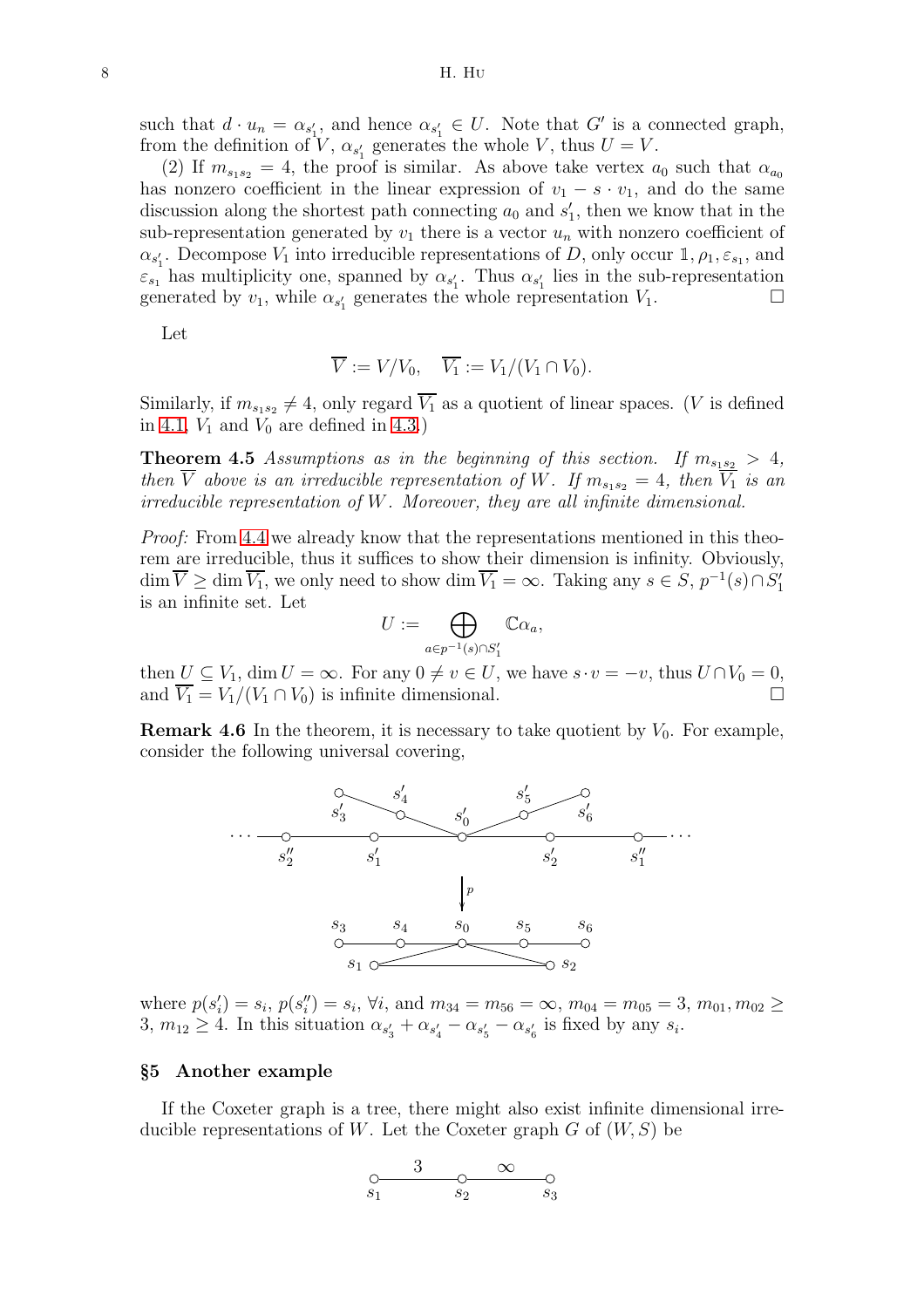such that  $d \cdot u_n = \alpha_{s'_1}$ , and hence  $\alpha_{s'_1} \in U$ . Note that G' is a connected graph, from the definition of V,  $\alpha_{s_1}$  generates the whole V, thus  $U = V$ .

(2) If  $m_{s_1s_2} = 4$ , the proof is similar. As above take vertex  $a_0$  such that  $\alpha_{a_0}$ has nonzero coefficient in the linear expression of  $v_1 - s \cdot v_1$ , and do the same discussion along the shortest path connecting  $a_0$  and  $s'_1$  $\eta_1$ , then we know that in the sub-representation generated by  $v_1$  there is a vector  $u_n$  with nonzero coefficient of  $\alpha_{s_1'}$ . Decompose  $V_1$  into irreducible representations of D, only occur 1,  $\rho_1$ ,  $\varepsilon_{s_1}$ , and  $\varepsilon_{s_1}$  has multiplicity one, spanned by  $\alpha_{s'_1}$ . Thus  $\alpha_{s'_1}$  lies in the sub-representation generated by  $v_1$ , while  $\alpha_{s'_1}$  generates the whole representation  $V_1$ .

Let

$$
\overline{V} := V/V_0, \quad \overline{V_1} := V_1/(V_1 \cap V_0).
$$

Similarly, if  $m_{s_1s_2} \neq 4$ , only regard  $\overline{V_1}$  as a quotient of linear spaces. (*V* is defined in [4.1,](#page-4-1)  $V_1$  and  $V_0$  are defined in [4.3.](#page-6-0))

**Theorem 4.5** Assumptions as in the beginning of this section. If  $m_{s_1s_2} > 4$ , then  $\overline{V}$  above is an irreducible representation of W. If  $m_{s_1s_2} = 4$ , then  $\overline{V_1}$  is an irreducible representation of W. Moreover, they are all infinite dimensional.

Proof: From [4.4](#page-6-1) we already know that the representations mentioned in this theorem are irreducible, thus it suffices to show their dimension is infinity. Obviously,  $\dim \overline{V} \ge \dim \overline{V_1}$ , we only need to show  $\dim \overline{V_1} = \infty$ . Taking any  $s \in S$ ,  $p^{-1}(s) \cap S'_1$ 1 is an infinite set. Let

$$
U:=\bigoplus_{a\in p^{-1}(s)\cap S'_1}\mathbb{C}\alpha_a,
$$

then  $U \subseteq V_1$ , dim  $U = \infty$ . For any  $0 \neq v \in U$ , we have  $s \cdot v = -v$ , thus  $U \cap V_0 = 0$ , and  $\overline{V_1} = V_1/(V_1 \cap V_0)$  is infinite dimensional.

**Remark 4.6** In the theorem, it is necessary to take quotient by  $V_0$ . For example, consider the following universal covering,



where  $p(s'_i)$  $i'_i$ ) =  $s_i$ ,  $p(s''_i)$  $j''_i$  =  $s_i$ ,  $\forall i$ , and  $m_{34} = m_{56} = \infty$ ,  $m_{04} = m_{05} = 3$ ,  $m_{01}$ ,  $m_{02} \ge$ 3,  $m_{12} \geq 4$ . In this situation  $\alpha_{s'_3} + \alpha_{s'_4} - \alpha_{s'_5} - \alpha_{s'_6}$  is fixed by any  $s_i$ .

## <span id="page-7-0"></span>§5 Another example

If the Coxeter graph is a tree, there might also exist infinite dimensional irreducible representations of W. Let the Coxeter graph  $G$  of  $(W, S)$  be

$$
\begin{array}{ccc}\n & 3 & \infty & \infty \\
\begin{array}{ccc}\n & & \circ & \circ \\
s_1 & & s_2 & & s_3\n\end{array}\n\end{array}
$$